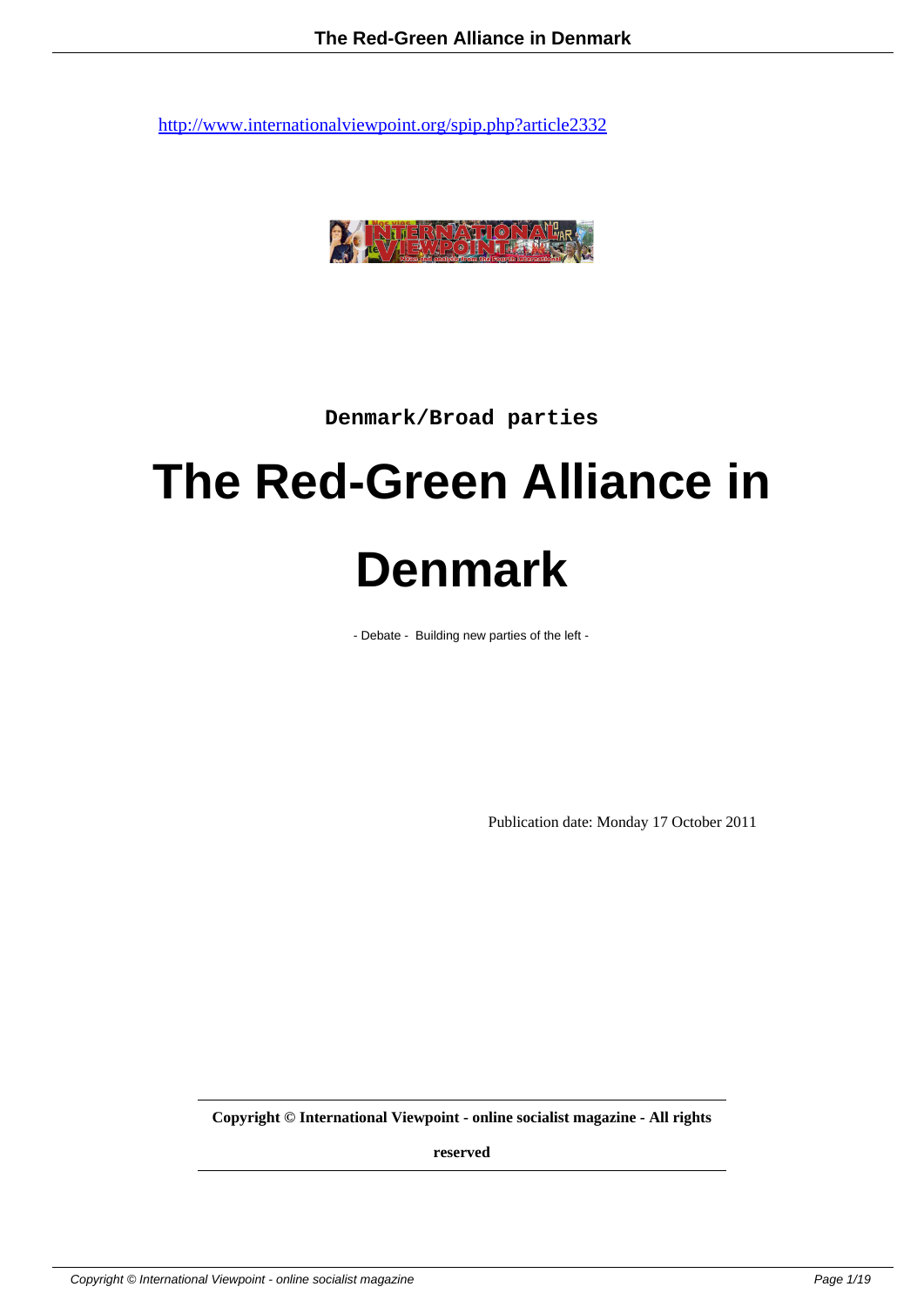

**Denmark/Broad parties**

# **The Red-Green Alliance in Denmark**

- Debate - Building new parties of the left -

Publication date: Monday 17 October 2011

**Copyright © International Viewpoint - online socialist magazine - All rights**

**reserved**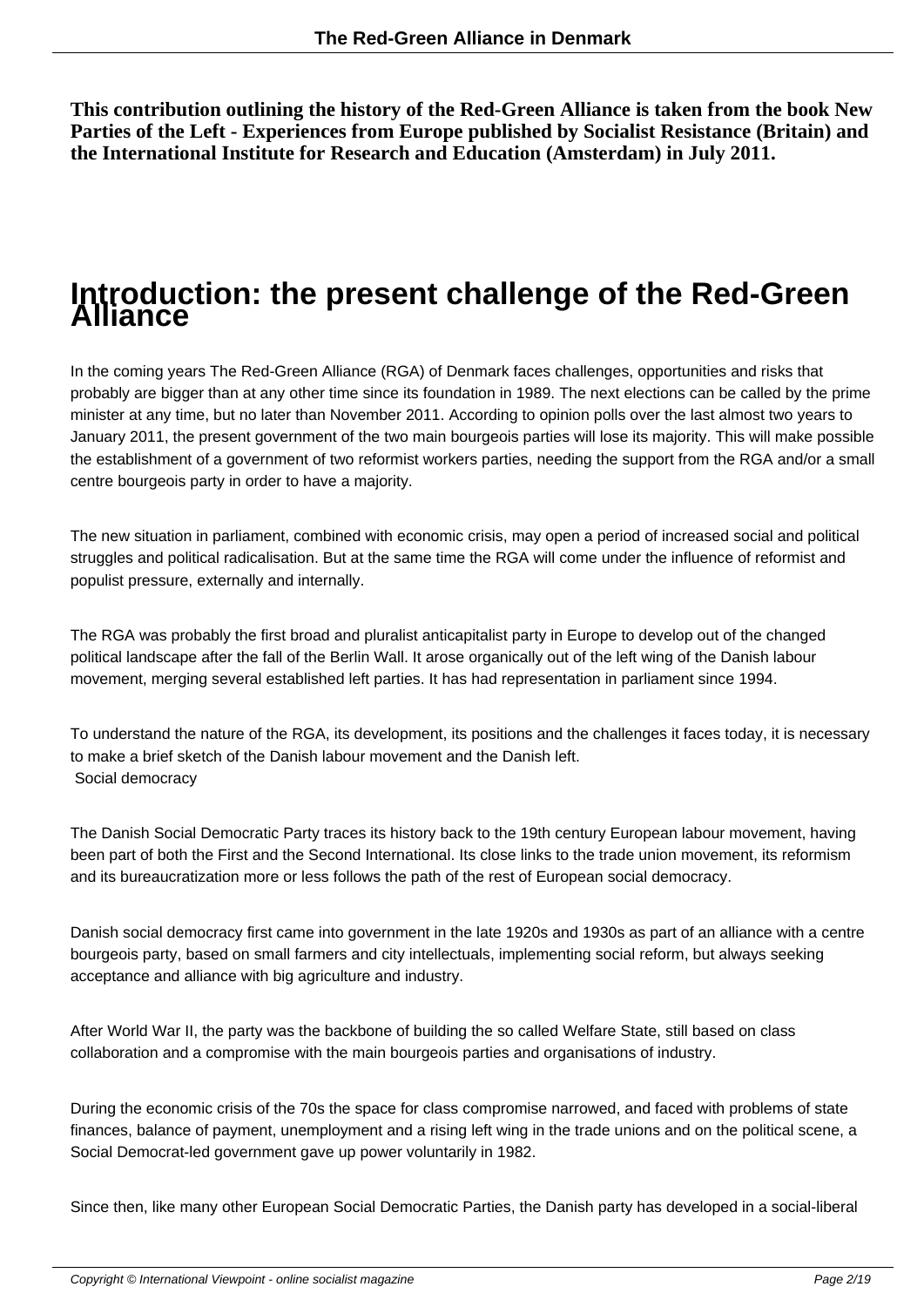**This contribution outlining the history of the Red-Green Alliance is taken from the book New Parties of the Left - Experiences from Europe published by Socialist Resistance (Britain) and the International Institute for Research and Education (Amsterdam) in July 2011.**

# **Introduction: the present challenge of the Red-Green Alliance**

In the coming years The Red-Green Alliance (RGA) of Denmark faces challenges, opportunities and risks that probably are bigger than at any other time since its foundation in 1989. The next elections can be called by the prime minister at any time, but no later than November 2011. According to opinion polls over the last almost two years to January 2011, the present government of the two main bourgeois parties will lose its majority. This will make possible the establishment of a government of two reformist workers parties, needing the support from the RGA and/or a small centre bourgeois party in order to have a majority.

The new situation in parliament, combined with economic crisis, may open a period of increased social and political struggles and political radicalisation. But at the same time the RGA will come under the influence of reformist and populist pressure, externally and internally.

The RGA was probably the first broad and pluralist anticapitalist party in Europe to develop out of the changed political landscape after the fall of the Berlin Wall. It arose organically out of the left wing of the Danish labour movement, merging several established left parties. It has had representation in parliament since 1994.

To understand the nature of the RGA, its development, its positions and the challenges it faces today, it is necessary to make a brief sketch of the Danish labour movement and the Danish left. Social democracy

The Danish Social Democratic Party traces its history back to the 19th century European labour movement, having been part of both the First and the Second International. Its close links to the trade union movement, its reformism and its bureaucratization more or less follows the path of the rest of European social democracy.

Danish social democracy first came into government in the late 1920s and 1930s as part of an alliance with a centre bourgeois party, based on small farmers and city intellectuals, implementing social reform, but always seeking acceptance and alliance with big agriculture and industry.

After World War II, the party was the backbone of building the so called Welfare State, still based on class collaboration and a compromise with the main bourgeois parties and organisations of industry.

During the economic crisis of the 70s the space for class compromise narrowed, and faced with problems of state finances, balance of payment, unemployment and a rising left wing in the trade unions and on the political scene, a Social Democrat-led government gave up power voluntarily in 1982.

Since then, like many other European Social Democratic Parties, the Danish party has developed in a social-liberal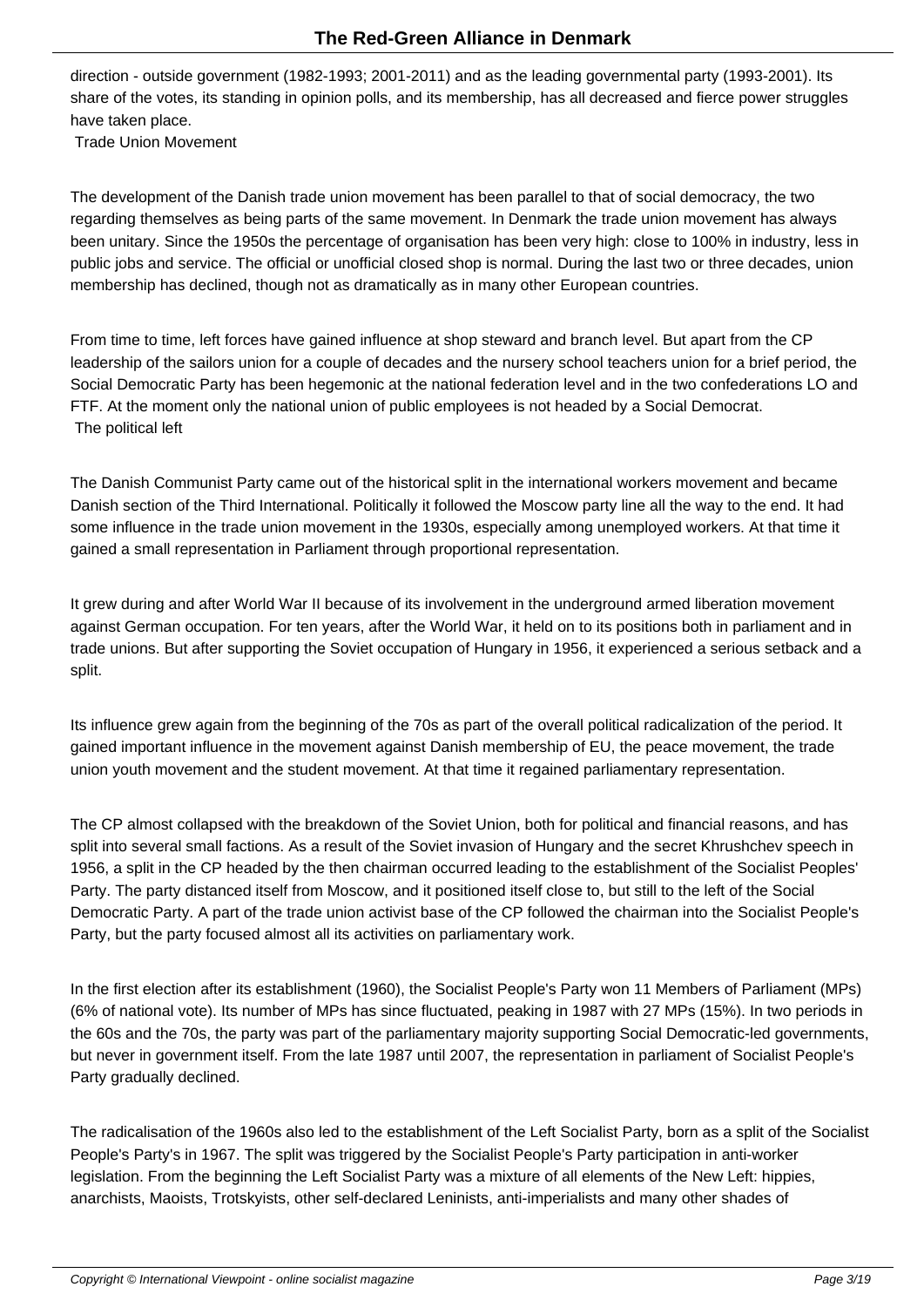direction - outside government (1982-1993; 2001-2011) and as the leading governmental party (1993-2001). Its share of the votes, its standing in opinion polls, and its membership, has all decreased and fierce power struggles have taken place.

Trade Union Movement

The development of the Danish trade union movement has been parallel to that of social democracy, the two regarding themselves as being parts of the same movement. In Denmark the trade union movement has always been unitary. Since the 1950s the percentage of organisation has been very high: close to 100% in industry, less in public jobs and service. The official or unofficial closed shop is normal. During the last two or three decades, union membership has declined, though not as dramatically as in many other European countries.

From time to time, left forces have gained influence at shop steward and branch level. But apart from the CP leadership of the sailors union for a couple of decades and the nursery school teachers union for a brief period, the Social Democratic Party has been hegemonic at the national federation level and in the two confederations LO and FTF. At the moment only the national union of public employees is not headed by a Social Democrat. The political left

The Danish Communist Party came out of the historical split in the international workers movement and became Danish section of the Third International. Politically it followed the Moscow party line all the way to the end. It had some influence in the trade union movement in the 1930s, especially among unemployed workers. At that time it gained a small representation in Parliament through proportional representation.

It grew during and after World War II because of its involvement in the underground armed liberation movement against German occupation. For ten years, after the World War, it held on to its positions both in parliament and in trade unions. But after supporting the Soviet occupation of Hungary in 1956, it experienced a serious setback and a split.

Its influence grew again from the beginning of the 70s as part of the overall political radicalization of the period. It gained important influence in the movement against Danish membership of EU, the peace movement, the trade union youth movement and the student movement. At that time it regained parliamentary representation.

The CP almost collapsed with the breakdown of the Soviet Union, both for political and financial reasons, and has split into several small factions. As a result of the Soviet invasion of Hungary and the secret Khrushchev speech in 1956, a split in the CP headed by the then chairman occurred leading to the establishment of the Socialist Peoples' Party. The party distanced itself from Moscow, and it positioned itself close to, but still to the left of the Social Democratic Party. A part of the trade union activist base of the CP followed the chairman into the Socialist People's Party, but the party focused almost all its activities on parliamentary work.

In the first election after its establishment (1960), the Socialist People's Party won 11 Members of Parliament (MPs) (6% of national vote). Its number of MPs has since fluctuated, peaking in 1987 with 27 MPs (15%). In two periods in the 60s and the 70s, the party was part of the parliamentary majority supporting Social Democratic-led governments, but never in government itself. From the late 1987 until 2007, the representation in parliament of Socialist People's Party gradually declined.

The radicalisation of the 1960s also led to the establishment of the Left Socialist Party, born as a split of the Socialist People's Party's in 1967. The split was triggered by the Socialist People's Party participation in anti-worker legislation. From the beginning the Left Socialist Party was a mixture of all elements of the New Left: hippies, anarchists, Maoists, Trotskyists, other self-declared Leninists, anti-imperialists and many other shades of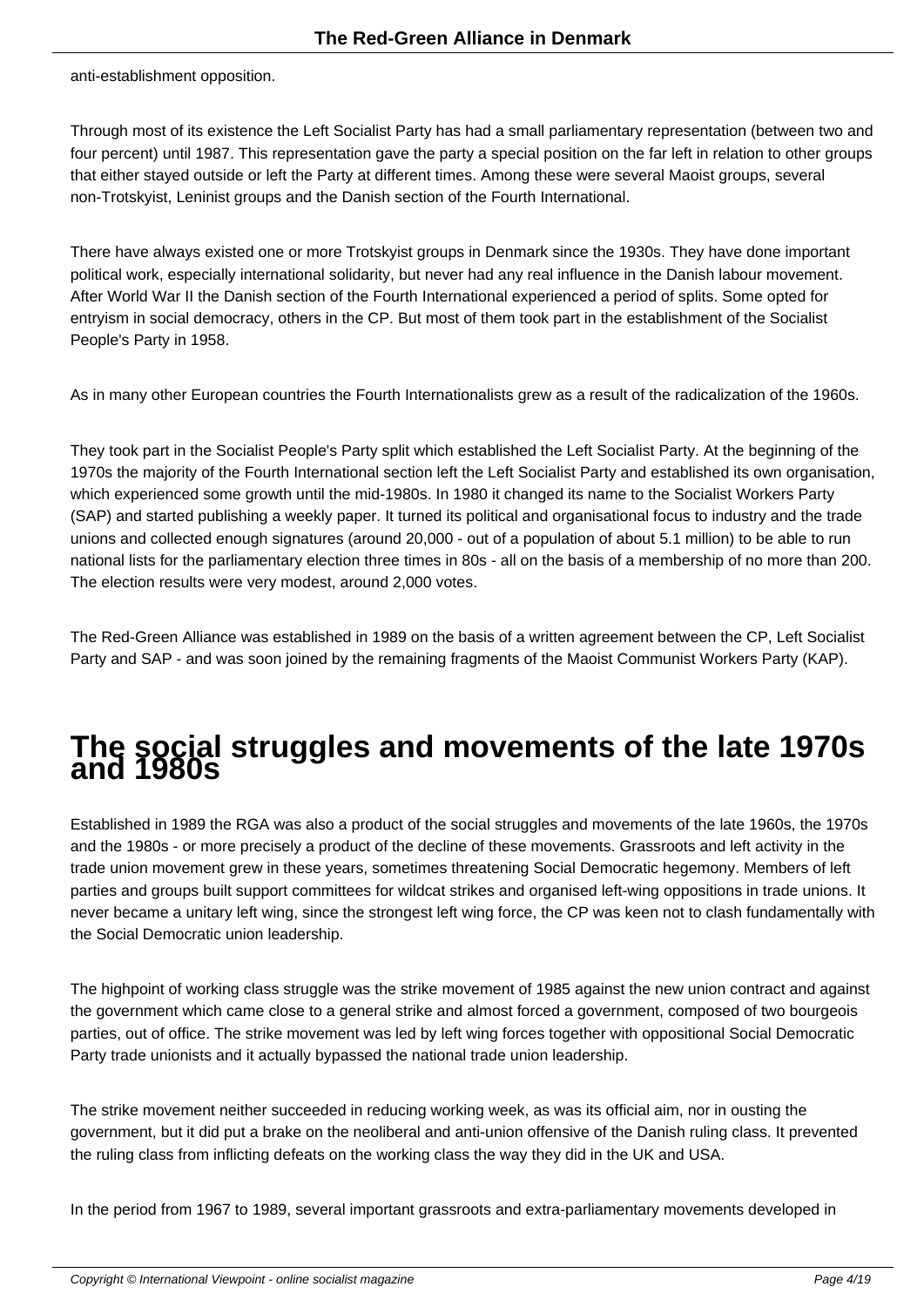anti-establishment opposition.

Through most of its existence the Left Socialist Party has had a small parliamentary representation (between two and four percent) until 1987. This representation gave the party a special position on the far left in relation to other groups that either stayed outside or left the Party at different times. Among these were several Maoist groups, several non-Trotskyist, Leninist groups and the Danish section of the Fourth International.

There have always existed one or more Trotskyist groups in Denmark since the 1930s. They have done important political work, especially international solidarity, but never had any real influence in the Danish labour movement. After World War II the Danish section of the Fourth International experienced a period of splits. Some opted for entryism in social democracy, others in the CP. But most of them took part in the establishment of the Socialist People's Party in 1958.

As in many other European countries the Fourth Internationalists grew as a result of the radicalization of the 1960s.

They took part in the Socialist People's Party split which established the Left Socialist Party. At the beginning of the 1970s the majority of the Fourth International section left the Left Socialist Party and established its own organisation, which experienced some growth until the mid-1980s. In 1980 it changed its name to the Socialist Workers Party (SAP) and started publishing a weekly paper. It turned its political and organisational focus to industry and the trade unions and collected enough signatures (around 20,000 - out of a population of about 5.1 million) to be able to run national lists for the parliamentary election three times in 80s - all on the basis of a membership of no more than 200. The election results were very modest, around 2,000 votes.

The Red-Green Alliance was established in 1989 on the basis of a written agreement between the CP, Left Socialist Party and SAP - and was soon joined by the remaining fragments of the Maoist Communist Workers Party (KAP).

# **The social struggles and movements of the late 1970s and 1980s**

Established in 1989 the RGA was also a product of the social struggles and movements of the late 1960s, the 1970s and the 1980s - or more precisely a product of the decline of these movements. Grassroots and left activity in the trade union movement grew in these years, sometimes threatening Social Democratic hegemony. Members of left parties and groups built support committees for wildcat strikes and organised left-wing oppositions in trade unions. It never became a unitary left wing, since the strongest left wing force, the CP was keen not to clash fundamentally with the Social Democratic union leadership.

The highpoint of working class struggle was the strike movement of 1985 against the new union contract and against the government which came close to a general strike and almost forced a government, composed of two bourgeois parties, out of office. The strike movement was led by left wing forces together with oppositional Social Democratic Party trade unionists and it actually bypassed the national trade union leadership.

The strike movement neither succeeded in reducing working week, as was its official aim, nor in ousting the government, but it did put a brake on the neoliberal and anti-union offensive of the Danish ruling class. It prevented the ruling class from inflicting defeats on the working class the way they did in the UK and USA.

In the period from 1967 to 1989, several important grassroots and extra-parliamentary movements developed in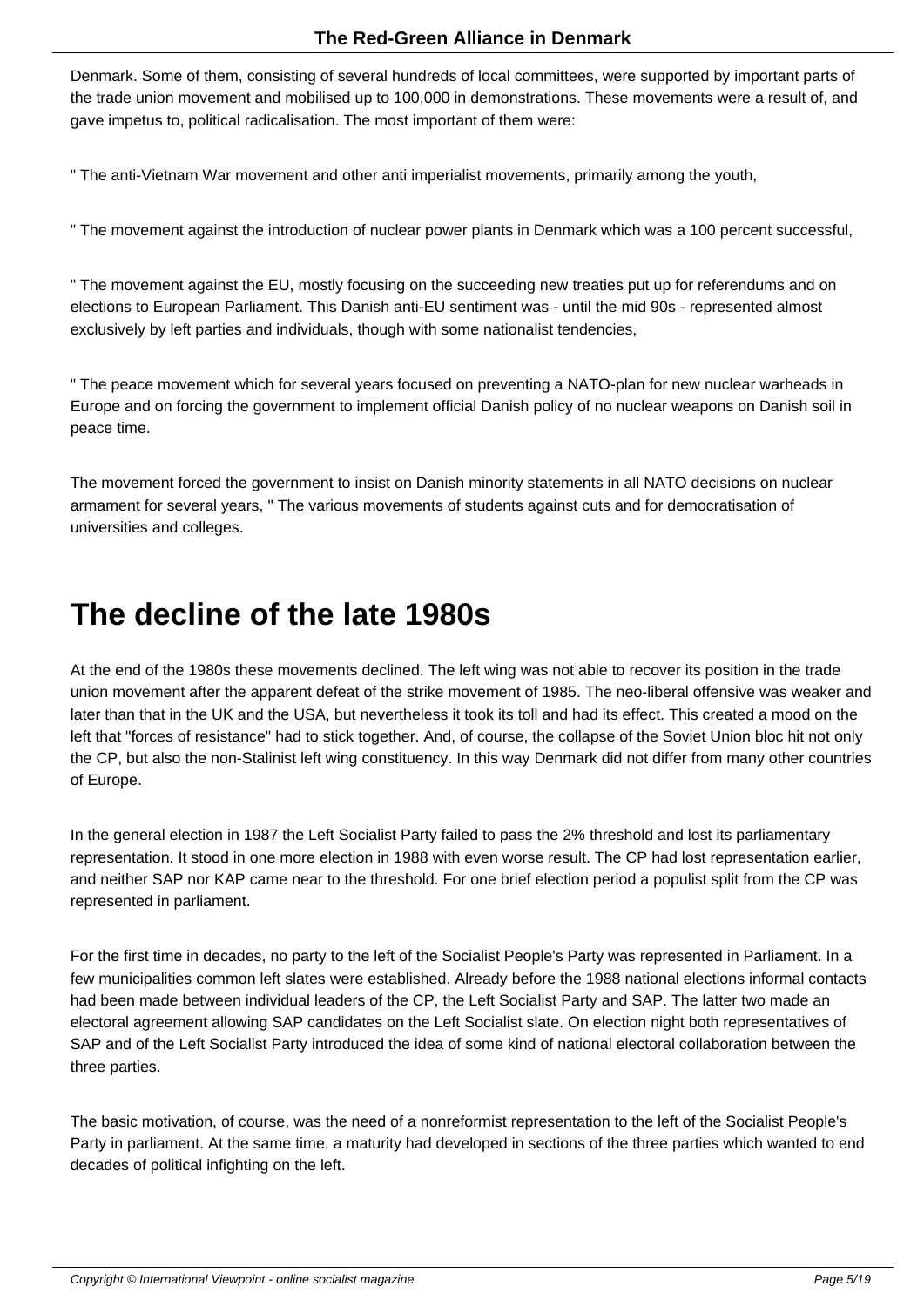Denmark. Some of them, consisting of several hundreds of local committees, were supported by important parts of the trade union movement and mobilised up to 100,000 in demonstrations. These movements were a result of, and gave impetus to, political radicalisation. The most important of them were:

" The anti-Vietnam War movement and other anti imperialist movements, primarily among the youth,

" The movement against the introduction of nuclear power plants in Denmark which was a 100 percent successful,

" The movement against the EU, mostly focusing on the succeeding new treaties put up for referendums and on elections to European Parliament. This Danish anti-EU sentiment was - until the mid 90s - represented almost exclusively by left parties and individuals, though with some nationalist tendencies,

" The peace movement which for several years focused on preventing a NATO-plan for new nuclear warheads in Europe and on forcing the government to implement official Danish policy of no nuclear weapons on Danish soil in peace time.

The movement forced the government to insist on Danish minority statements in all NATO decisions on nuclear armament for several years, " The various movements of students against cuts and for democratisation of universities and colleges.

### **The decline of the late 1980s**

At the end of the 1980s these movements declined. The left wing was not able to recover its position in the trade union movement after the apparent defeat of the strike movement of 1985. The neo-liberal offensive was weaker and later than that in the UK and the USA, but nevertheless it took its toll and had its effect. This created a mood on the left that "forces of resistance" had to stick together. And, of course, the collapse of the Soviet Union bloc hit not only the CP, but also the non-Stalinist left wing constituency. In this way Denmark did not differ from many other countries of Europe.

In the general election in 1987 the Left Socialist Party failed to pass the 2% threshold and lost its parliamentary representation. It stood in one more election in 1988 with even worse result. The CP had lost representation earlier, and neither SAP nor KAP came near to the threshold. For one brief election period a populist split from the CP was represented in parliament.

For the first time in decades, no party to the left of the Socialist People's Party was represented in Parliament. In a few municipalities common left slates were established. Already before the 1988 national elections informal contacts had been made between individual leaders of the CP, the Left Socialist Party and SAP. The latter two made an electoral agreement allowing SAP candidates on the Left Socialist slate. On election night both representatives of SAP and of the Left Socialist Party introduced the idea of some kind of national electoral collaboration between the three parties.

The basic motivation, of course, was the need of a nonreformist representation to the left of the Socialist People's Party in parliament. At the same time, a maturity had developed in sections of the three parties which wanted to end decades of political infighting on the left.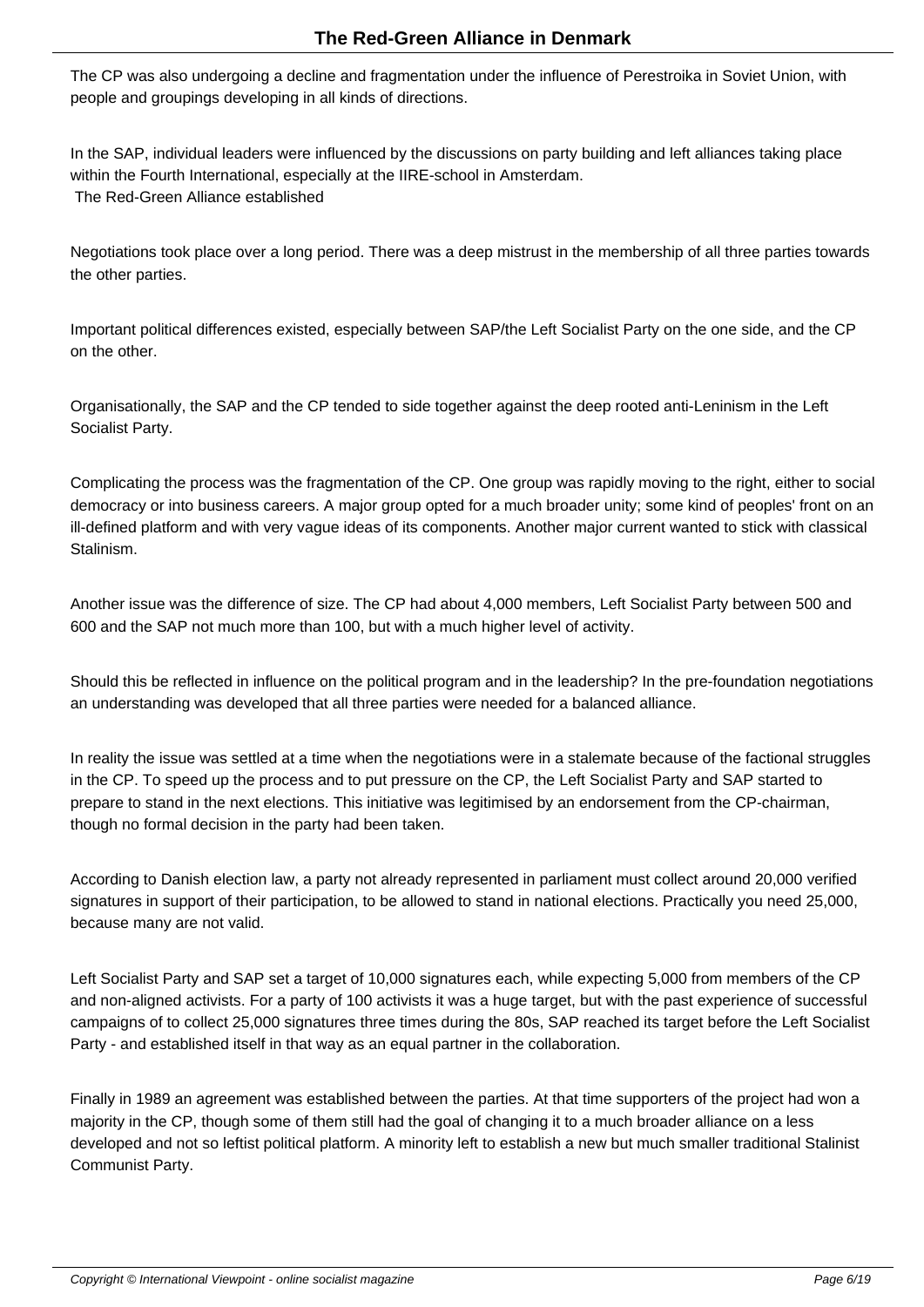The CP was also undergoing a decline and fragmentation under the influence of Perestroika in Soviet Union, with people and groupings developing in all kinds of directions.

In the SAP, individual leaders were influenced by the discussions on party building and left alliances taking place within the Fourth International, especially at the IIRE-school in Amsterdam. The Red-Green Alliance established

Negotiations took place over a long period. There was a deep mistrust in the membership of all three parties towards the other parties.

Important political differences existed, especially between SAP/the Left Socialist Party on the one side, and the CP on the other.

Organisationally, the SAP and the CP tended to side together against the deep rooted anti-Leninism in the Left Socialist Party.

Complicating the process was the fragmentation of the CP. One group was rapidly moving to the right, either to social democracy or into business careers. A major group opted for a much broader unity; some kind of peoples' front on an ill-defined platform and with very vague ideas of its components. Another major current wanted to stick with classical Stalinism.

Another issue was the difference of size. The CP had about 4,000 members, Left Socialist Party between 500 and 600 and the SAP not much more than 100, but with a much higher level of activity.

Should this be reflected in influence on the political program and in the leadership? In the pre-foundation negotiations an understanding was developed that all three parties were needed for a balanced alliance.

In reality the issue was settled at a time when the negotiations were in a stalemate because of the factional struggles in the CP. To speed up the process and to put pressure on the CP, the Left Socialist Party and SAP started to prepare to stand in the next elections. This initiative was legitimised by an endorsement from the CP-chairman, though no formal decision in the party had been taken.

According to Danish election law, a party not already represented in parliament must collect around 20,000 verified signatures in support of their participation, to be allowed to stand in national elections. Practically you need 25,000, because many are not valid.

Left Socialist Party and SAP set a target of 10,000 signatures each, while expecting 5,000 from members of the CP and non-aligned activists. For a party of 100 activists it was a huge target, but with the past experience of successful campaigns of to collect 25,000 signatures three times during the 80s, SAP reached its target before the Left Socialist Party - and established itself in that way as an equal partner in the collaboration.

Finally in 1989 an agreement was established between the parties. At that time supporters of the project had won a majority in the CP, though some of them still had the goal of changing it to a much broader alliance on a less developed and not so leftist political platform. A minority left to establish a new but much smaller traditional Stalinist Communist Party.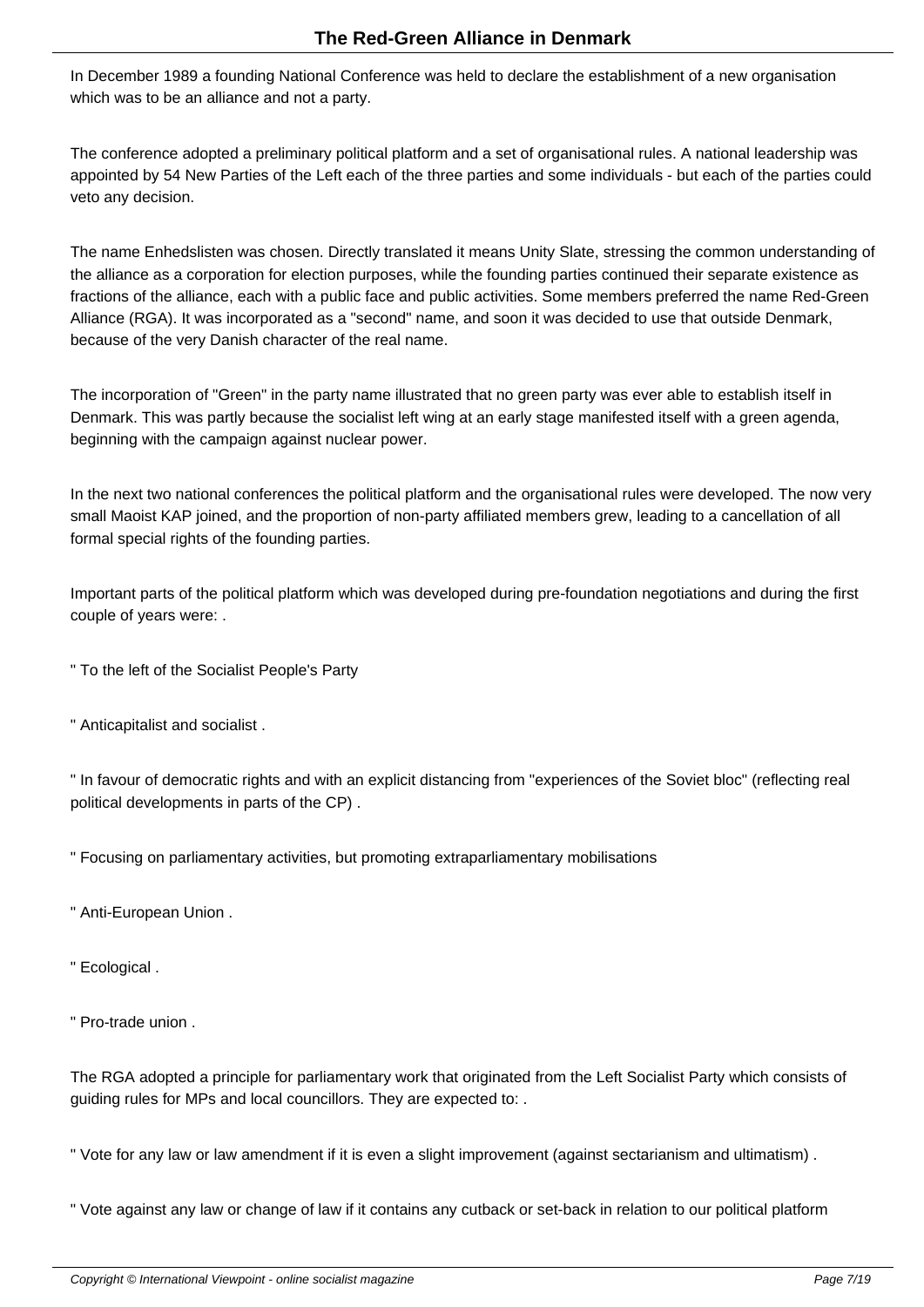In December 1989 a founding National Conference was held to declare the establishment of a new organisation which was to be an alliance and not a party.

The conference adopted a preliminary political platform and a set of organisational rules. A national leadership was appointed by 54 New Parties of the Left each of the three parties and some individuals - but each of the parties could veto any decision.

The name Enhedslisten was chosen. Directly translated it means Unity Slate, stressing the common understanding of the alliance as a corporation for election purposes, while the founding parties continued their separate existence as fractions of the alliance, each with a public face and public activities. Some members preferred the name Red-Green Alliance (RGA). It was incorporated as a "second" name, and soon it was decided to use that outside Denmark, because of the very Danish character of the real name.

The incorporation of "Green" in the party name illustrated that no green party was ever able to establish itself in Denmark. This was partly because the socialist left wing at an early stage manifested itself with a green agenda, beginning with the campaign against nuclear power.

In the next two national conferences the political platform and the organisational rules were developed. The now very small Maoist KAP joined, and the proportion of non-party affiliated members grew, leading to a cancellation of all formal special rights of the founding parties.

Important parts of the political platform which was developed during pre-foundation negotiations and during the first couple of years were: .

" To the left of the Socialist People's Party

" Anticapitalist and socialist .

" In favour of democratic rights and with an explicit distancing from "experiences of the Soviet bloc" (reflecting real political developments in parts of the CP) .

" Focusing on parliamentary activities, but promoting extraparliamentary mobilisations

- " Anti-European Union .
- " Ecological .

" Pro-trade union .

The RGA adopted a principle for parliamentary work that originated from the Left Socialist Party which consists of guiding rules for MPs and local councillors. They are expected to: .

" Vote for any law or law amendment if it is even a slight improvement (against sectarianism and ultimatism) .

" Vote against any law or change of law if it contains any cutback or set-back in relation to our political platform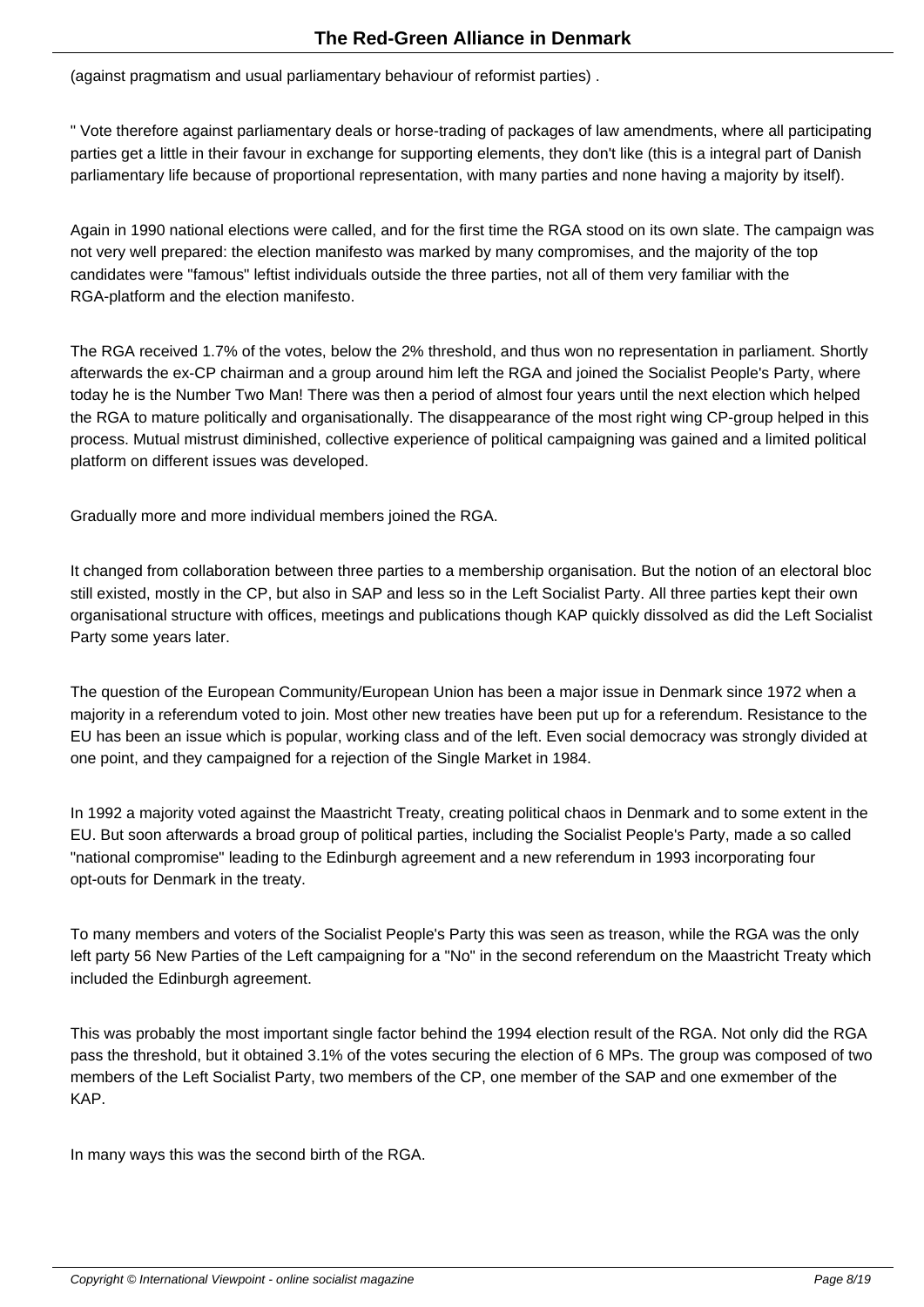(against pragmatism and usual parliamentary behaviour of reformist parties) .

" Vote therefore against parliamentary deals or horse-trading of packages of law amendments, where all participating parties get a little in their favour in exchange for supporting elements, they don't like (this is a integral part of Danish parliamentary life because of proportional representation, with many parties and none having a majority by itself).

Again in 1990 national elections were called, and for the first time the RGA stood on its own slate. The campaign was not very well prepared: the election manifesto was marked by many compromises, and the majority of the top candidates were "famous" leftist individuals outside the three parties, not all of them very familiar with the RGA-platform and the election manifesto.

The RGA received 1.7% of the votes, below the 2% threshold, and thus won no representation in parliament. Shortly afterwards the ex-CP chairman and a group around him left the RGA and joined the Socialist People's Party, where today he is the Number Two Man! There was then a period of almost four years until the next election which helped the RGA to mature politically and organisationally. The disappearance of the most right wing CP-group helped in this process. Mutual mistrust diminished, collective experience of political campaigning was gained and a limited political platform on different issues was developed.

Gradually more and more individual members joined the RGA.

It changed from collaboration between three parties to a membership organisation. But the notion of an electoral bloc still existed, mostly in the CP, but also in SAP and less so in the Left Socialist Party. All three parties kept their own organisational structure with offices, meetings and publications though KAP quickly dissolved as did the Left Socialist Party some years later.

The question of the European Community/European Union has been a major issue in Denmark since 1972 when a majority in a referendum voted to join. Most other new treaties have been put up for a referendum. Resistance to the EU has been an issue which is popular, working class and of the left. Even social democracy was strongly divided at one point, and they campaigned for a rejection of the Single Market in 1984.

In 1992 a majority voted against the Maastricht Treaty, creating political chaos in Denmark and to some extent in the EU. But soon afterwards a broad group of political parties, including the Socialist People's Party, made a so called "national compromise" leading to the Edinburgh agreement and a new referendum in 1993 incorporating four opt-outs for Denmark in the treaty.

To many members and voters of the Socialist People's Party this was seen as treason, while the RGA was the only left party 56 New Parties of the Left campaigning for a "No" in the second referendum on the Maastricht Treaty which included the Edinburgh agreement.

This was probably the most important single factor behind the 1994 election result of the RGA. Not only did the RGA pass the threshold, but it obtained 3.1% of the votes securing the election of 6 MPs. The group was composed of two members of the Left Socialist Party, two members of the CP, one member of the SAP and one exmember of the KAP.

In many ways this was the second birth of the RGA.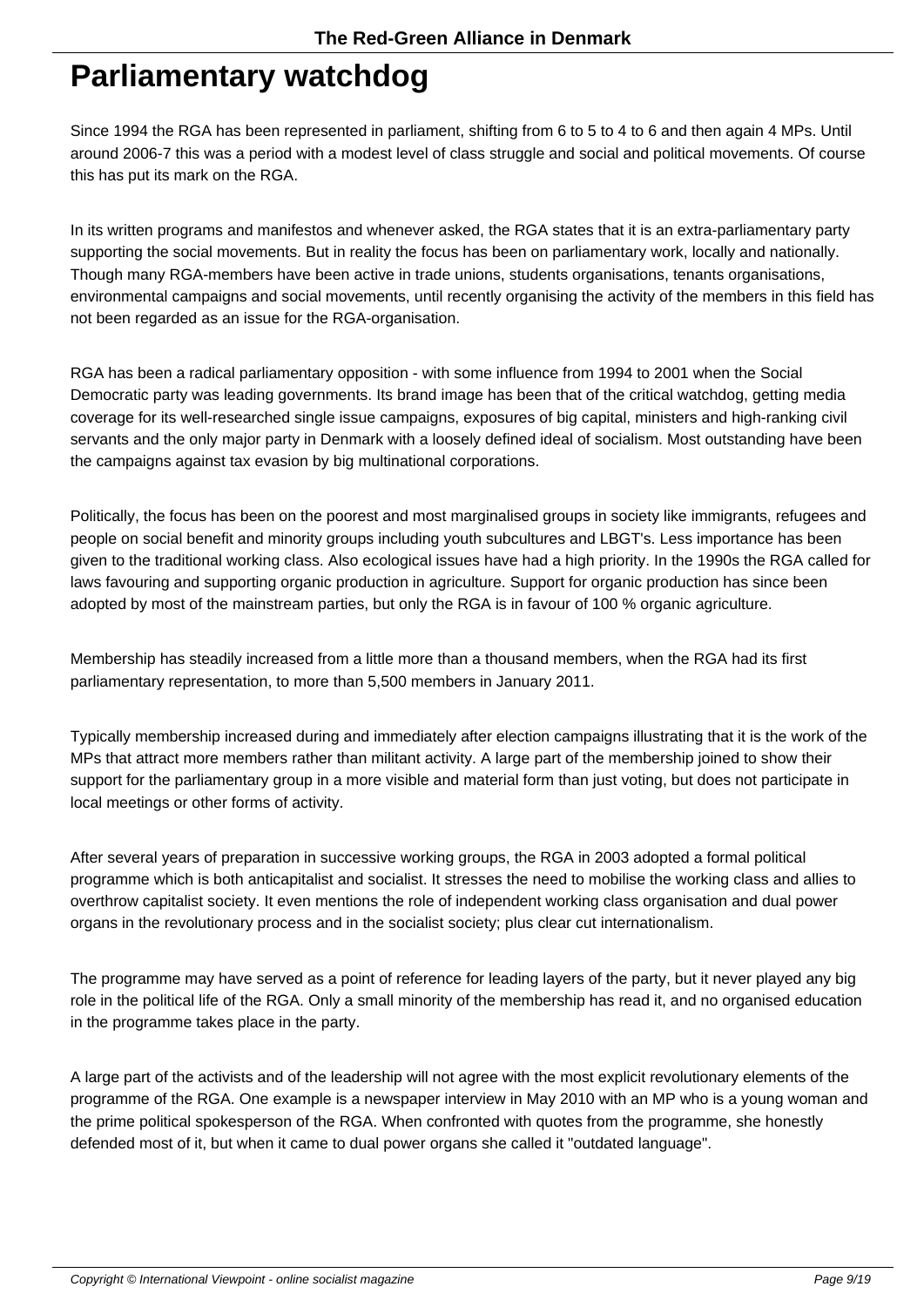#### **Parliamentary watchdog**

Since 1994 the RGA has been represented in parliament, shifting from 6 to 5 to 4 to 6 and then again 4 MPs. Until around 2006-7 this was a period with a modest level of class struggle and social and political movements. Of course this has put its mark on the RGA.

In its written programs and manifestos and whenever asked, the RGA states that it is an extra-parliamentary party supporting the social movements. But in reality the focus has been on parliamentary work, locally and nationally. Though many RGA-members have been active in trade unions, students organisations, tenants organisations, environmental campaigns and social movements, until recently organising the activity of the members in this field has not been regarded as an issue for the RGA-organisation.

RGA has been a radical parliamentary opposition - with some influence from 1994 to 2001 when the Social Democratic party was leading governments. Its brand image has been that of the critical watchdog, getting media coverage for its well-researched single issue campaigns, exposures of big capital, ministers and high-ranking civil servants and the only major party in Denmark with a loosely defined ideal of socialism. Most outstanding have been the campaigns against tax evasion by big multinational corporations.

Politically, the focus has been on the poorest and most marginalised groups in society like immigrants, refugees and people on social benefit and minority groups including youth subcultures and LBGT's. Less importance has been given to the traditional working class. Also ecological issues have had a high priority. In the 1990s the RGA called for laws favouring and supporting organic production in agriculture. Support for organic production has since been adopted by most of the mainstream parties, but only the RGA is in favour of 100 % organic agriculture.

Membership has steadily increased from a little more than a thousand members, when the RGA had its first parliamentary representation, to more than 5,500 members in January 2011.

Typically membership increased during and immediately after election campaigns illustrating that it is the work of the MPs that attract more members rather than militant activity. A large part of the membership joined to show their support for the parliamentary group in a more visible and material form than just voting, but does not participate in local meetings or other forms of activity.

After several years of preparation in successive working groups, the RGA in 2003 adopted a formal political programme which is both anticapitalist and socialist. It stresses the need to mobilise the working class and allies to overthrow capitalist society. It even mentions the role of independent working class organisation and dual power organs in the revolutionary process and in the socialist society; plus clear cut internationalism.

The programme may have served as a point of reference for leading layers of the party, but it never played any big role in the political life of the RGA. Only a small minority of the membership has read it, and no organised education in the programme takes place in the party.

A large part of the activists and of the leadership will not agree with the most explicit revolutionary elements of the programme of the RGA. One example is a newspaper interview in May 2010 with an MP who is a young woman and the prime political spokesperson of the RGA. When confronted with quotes from the programme, she honestly defended most of it, but when it came to dual power organs she called it "outdated language".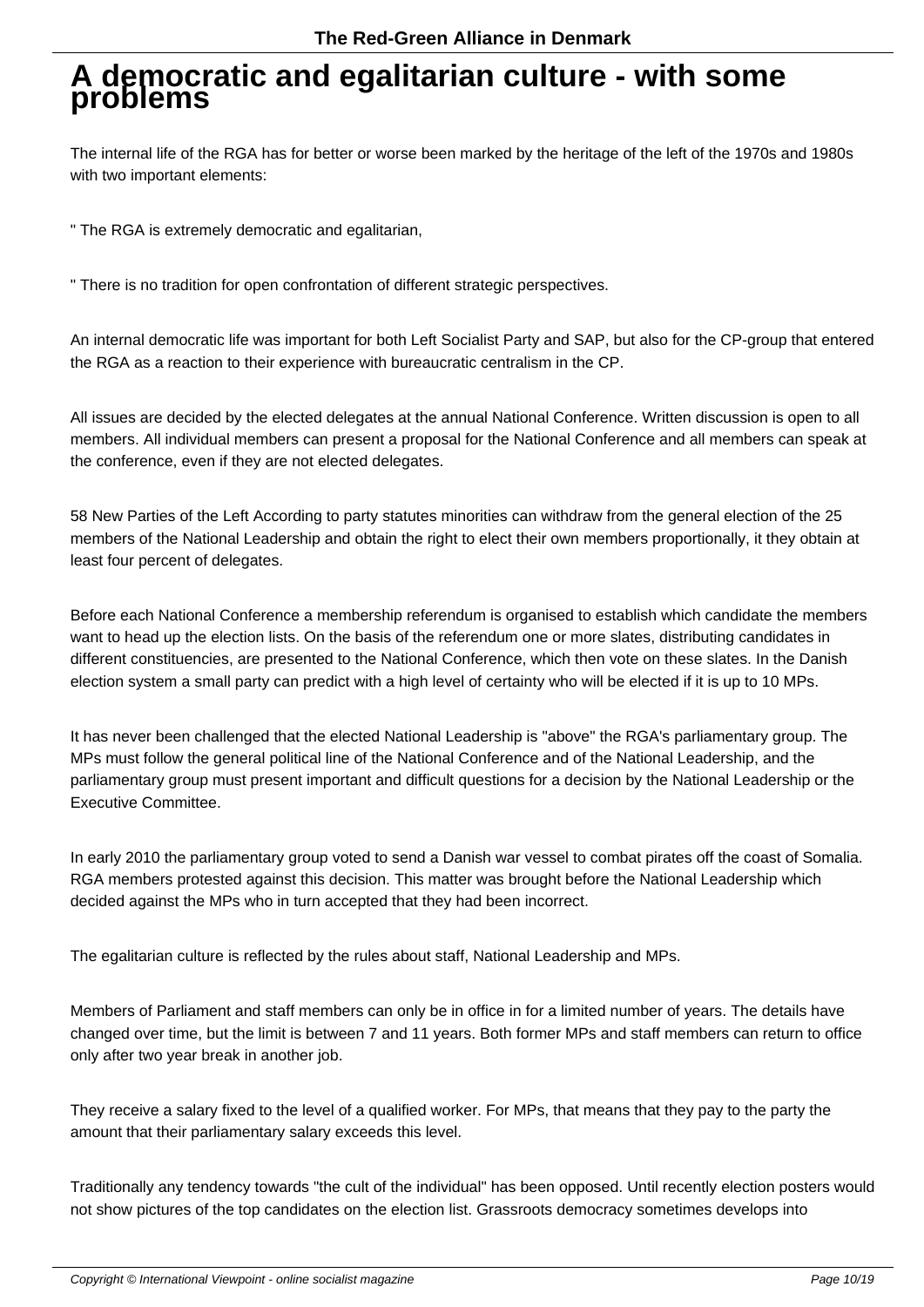### **A democratic and egalitarian culture - with some problems**

The internal life of the RGA has for better or worse been marked by the heritage of the left of the 1970s and 1980s with two important elements:

" The RGA is extremely democratic and egalitarian,

" There is no tradition for open confrontation of different strategic perspectives.

An internal democratic life was important for both Left Socialist Party and SAP, but also for the CP-group that entered the RGA as a reaction to their experience with bureaucratic centralism in the CP.

All issues are decided by the elected delegates at the annual National Conference. Written discussion is open to all members. All individual members can present a proposal for the National Conference and all members can speak at the conference, even if they are not elected delegates.

58 New Parties of the Left According to party statutes minorities can withdraw from the general election of the 25 members of the National Leadership and obtain the right to elect their own members proportionally, it they obtain at least four percent of delegates.

Before each National Conference a membership referendum is organised to establish which candidate the members want to head up the election lists. On the basis of the referendum one or more slates, distributing candidates in different constituencies, are presented to the National Conference, which then vote on these slates. In the Danish election system a small party can predict with a high level of certainty who will be elected if it is up to 10 MPs.

It has never been challenged that the elected National Leadership is "above" the RGA's parliamentary group. The MPs must follow the general political line of the National Conference and of the National Leadership, and the parliamentary group must present important and difficult questions for a decision by the National Leadership or the Executive Committee.

In early 2010 the parliamentary group voted to send a Danish war vessel to combat pirates off the coast of Somalia. RGA members protested against this decision. This matter was brought before the National Leadership which decided against the MPs who in turn accepted that they had been incorrect.

The egalitarian culture is reflected by the rules about staff, National Leadership and MPs.

Members of Parliament and staff members can only be in office in for a limited number of years. The details have changed over time, but the limit is between 7 and 11 years. Both former MPs and staff members can return to office only after two year break in another job.

They receive a salary fixed to the level of a qualified worker. For MPs, that means that they pay to the party the amount that their parliamentary salary exceeds this level.

Traditionally any tendency towards "the cult of the individual" has been opposed. Until recently election posters would not show pictures of the top candidates on the election list. Grassroots democracy sometimes develops into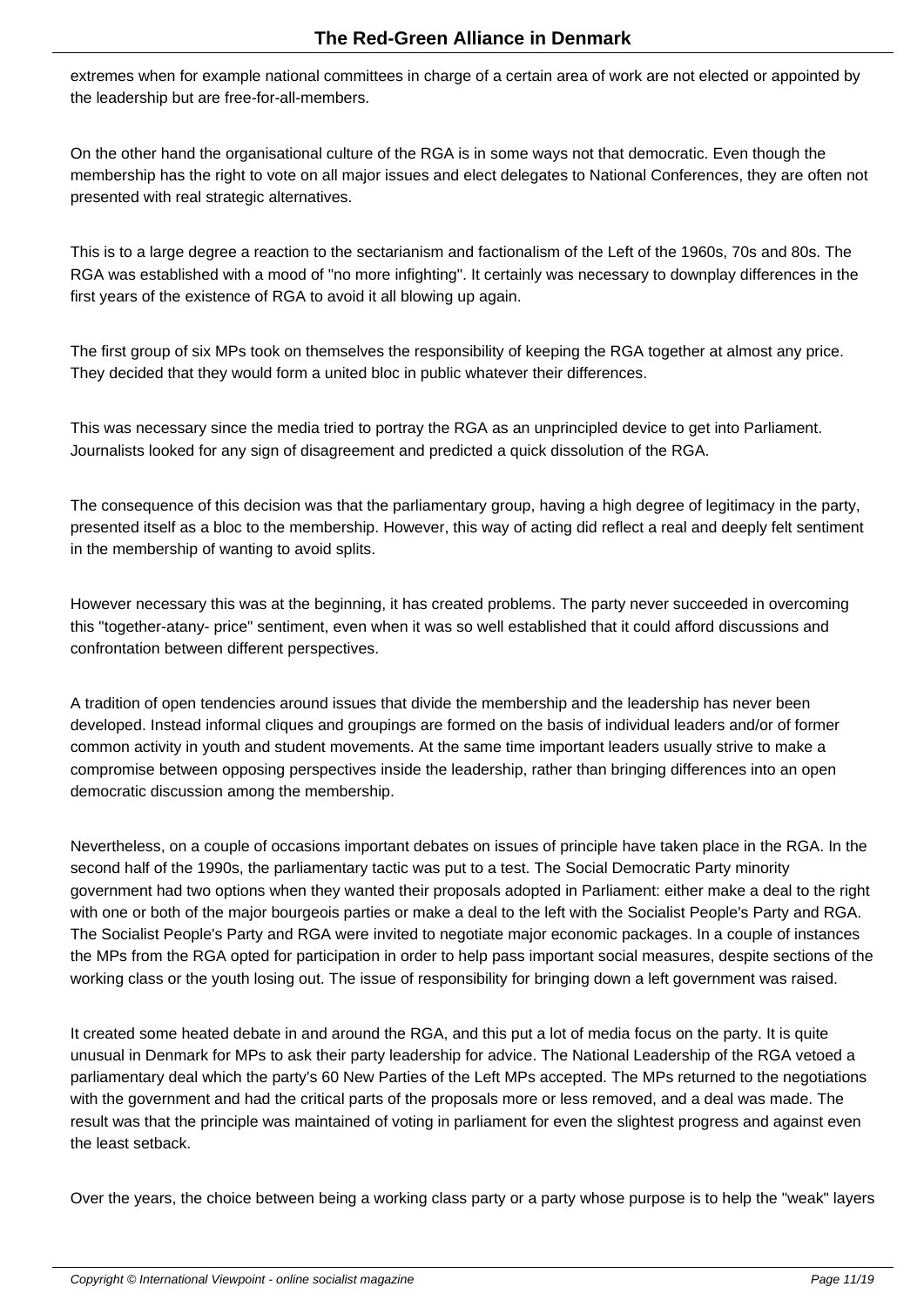extremes when for example national committees in charge of a certain area of work are not elected or appointed by the leadership but are free-for-all-members.

On the other hand the organisational culture of the RGA is in some ways not that democratic. Even though the membership has the right to vote on all major issues and elect delegates to National Conferences, they are often not presented with real strategic alternatives.

This is to a large degree a reaction to the sectarianism and factionalism of the Left of the 1960s, 70s and 80s. The RGA was established with a mood of "no more infighting". It certainly was necessary to downplay differences in the first years of the existence of RGA to avoid it all blowing up again.

The first group of six MPs took on themselves the responsibility of keeping the RGA together at almost any price. They decided that they would form a united bloc in public whatever their differences.

This was necessary since the media tried to portray the RGA as an unprincipled device to get into Parliament. Journalists looked for any sign of disagreement and predicted a quick dissolution of the RGA.

The consequence of this decision was that the parliamentary group, having a high degree of legitimacy in the party, presented itself as a bloc to the membership. However, this way of acting did reflect a real and deeply felt sentiment in the membership of wanting to avoid splits.

However necessary this was at the beginning, it has created problems. The party never succeeded in overcoming this "together-atany- price" sentiment, even when it was so well established that it could afford discussions and confrontation between different perspectives.

A tradition of open tendencies around issues that divide the membership and the leadership has never been developed. Instead informal cliques and groupings are formed on the basis of individual leaders and/or of former common activity in youth and student movements. At the same time important leaders usually strive to make a compromise between opposing perspectives inside the leadership, rather than bringing differences into an open democratic discussion among the membership.

Nevertheless, on a couple of occasions important debates on issues of principle have taken place in the RGA. In the second half of the 1990s, the parliamentary tactic was put to a test. The Social Democratic Party minority government had two options when they wanted their proposals adopted in Parliament: either make a deal to the right with one or both of the major bourgeois parties or make a deal to the left with the Socialist People's Party and RGA. The Socialist People's Party and RGA were invited to negotiate major economic packages. In a couple of instances the MPs from the RGA opted for participation in order to help pass important social measures, despite sections of the working class or the youth losing out. The issue of responsibility for bringing down a left government was raised.

It created some heated debate in and around the RGA, and this put a lot of media focus on the party. It is quite unusual in Denmark for MPs to ask their party leadership for advice. The National Leadership of the RGA vetoed a parliamentary deal which the party's 60 New Parties of the Left MPs accepted. The MPs returned to the negotiations with the government and had the critical parts of the proposals more or less removed, and a deal was made. The result was that the principle was maintained of voting in parliament for even the slightest progress and against even the least setback.

Over the years, the choice between being a working class party or a party whose purpose is to help the "weak" layers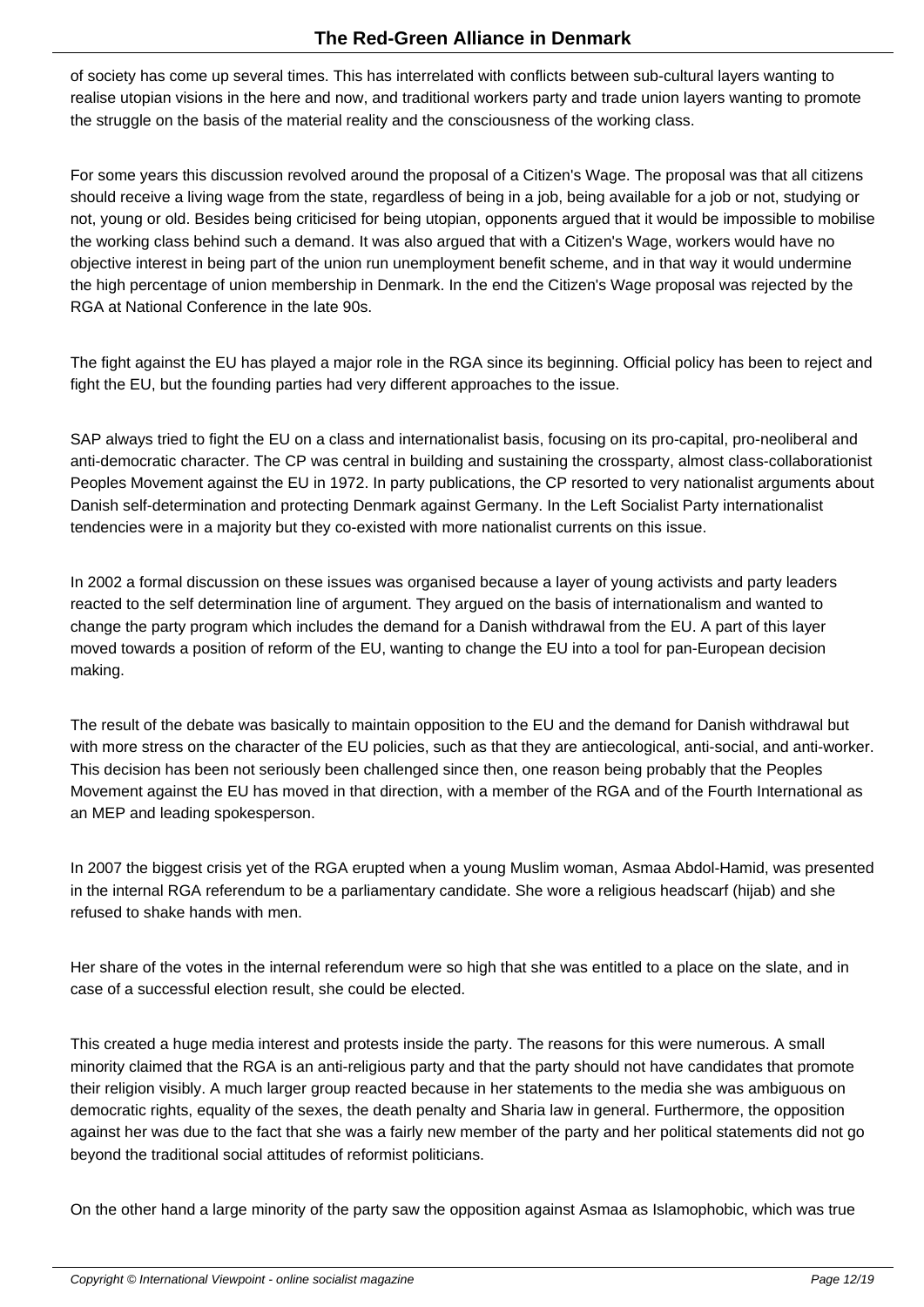of society has come up several times. This has interrelated with conflicts between sub-cultural layers wanting to realise utopian visions in the here and now, and traditional workers party and trade union layers wanting to promote the struggle on the basis of the material reality and the consciousness of the working class.

For some years this discussion revolved around the proposal of a Citizen's Wage. The proposal was that all citizens should receive a living wage from the state, regardless of being in a job, being available for a job or not, studying or not, young or old. Besides being criticised for being utopian, opponents argued that it would be impossible to mobilise the working class behind such a demand. It was also argued that with a Citizen's Wage, workers would have no objective interest in being part of the union run unemployment benefit scheme, and in that way it would undermine the high percentage of union membership in Denmark. In the end the Citizen's Wage proposal was rejected by the RGA at National Conference in the late 90s.

The fight against the EU has played a major role in the RGA since its beginning. Official policy has been to reject and fight the EU, but the founding parties had very different approaches to the issue.

SAP always tried to fight the EU on a class and internationalist basis, focusing on its pro-capital, pro-neoliberal and anti-democratic character. The CP was central in building and sustaining the crossparty, almost class-collaborationist Peoples Movement against the EU in 1972. In party publications, the CP resorted to very nationalist arguments about Danish self-determination and protecting Denmark against Germany. In the Left Socialist Party internationalist tendencies were in a majority but they co-existed with more nationalist currents on this issue.

In 2002 a formal discussion on these issues was organised because a layer of young activists and party leaders reacted to the self determination line of argument. They argued on the basis of internationalism and wanted to change the party program which includes the demand for a Danish withdrawal from the EU. A part of this layer moved towards a position of reform of the EU, wanting to change the EU into a tool for pan-European decision making.

The result of the debate was basically to maintain opposition to the EU and the demand for Danish withdrawal but with more stress on the character of the EU policies, such as that they are antiecological, anti-social, and anti-worker. This decision has been not seriously been challenged since then, one reason being probably that the Peoples Movement against the EU has moved in that direction, with a member of the RGA and of the Fourth International as an MEP and leading spokesperson.

In 2007 the biggest crisis yet of the RGA erupted when a young Muslim woman, Asmaa Abdol-Hamid, was presented in the internal RGA referendum to be a parliamentary candidate. She wore a religious headscarf (hijab) and she refused to shake hands with men.

Her share of the votes in the internal referendum were so high that she was entitled to a place on the slate, and in case of a successful election result, she could be elected.

This created a huge media interest and protests inside the party. The reasons for this were numerous. A small minority claimed that the RGA is an anti-religious party and that the party should not have candidates that promote their religion visibly. A much larger group reacted because in her statements to the media she was ambiguous on democratic rights, equality of the sexes, the death penalty and Sharia law in general. Furthermore, the opposition against her was due to the fact that she was a fairly new member of the party and her political statements did not go beyond the traditional social attitudes of reformist politicians.

On the other hand a large minority of the party saw the opposition against Asmaa as Islamophobic, which was true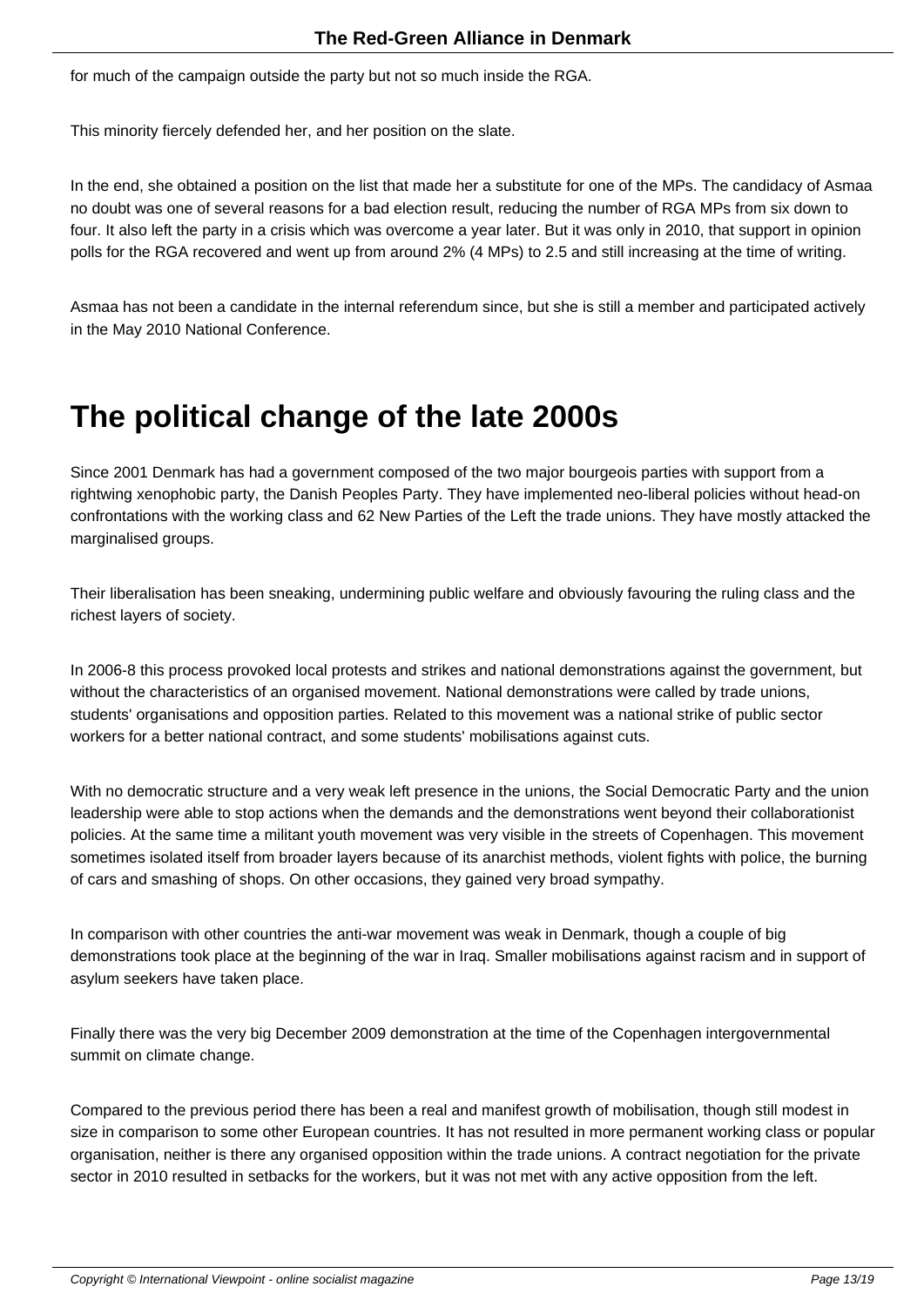for much of the campaign outside the party but not so much inside the RGA.

This minority fiercely defended her, and her position on the slate.

In the end, she obtained a position on the list that made her a substitute for one of the MPs. The candidacy of Asmaa no doubt was one of several reasons for a bad election result, reducing the number of RGA MPs from six down to four. It also left the party in a crisis which was overcome a year later. But it was only in 2010, that support in opinion polls for the RGA recovered and went up from around 2% (4 MPs) to 2.5 and still increasing at the time of writing.

Asmaa has not been a candidate in the internal referendum since, but she is still a member and participated actively in the May 2010 National Conference.

### **The political change of the late 2000s**

Since 2001 Denmark has had a government composed of the two major bourgeois parties with support from a rightwing xenophobic party, the Danish Peoples Party. They have implemented neo-liberal policies without head-on confrontations with the working class and 62 New Parties of the Left the trade unions. They have mostly attacked the marginalised groups.

Their liberalisation has been sneaking, undermining public welfare and obviously favouring the ruling class and the richest layers of society.

In 2006-8 this process provoked local protests and strikes and national demonstrations against the government, but without the characteristics of an organised movement. National demonstrations were called by trade unions, students' organisations and opposition parties. Related to this movement was a national strike of public sector workers for a better national contract, and some students' mobilisations against cuts.

With no democratic structure and a very weak left presence in the unions, the Social Democratic Party and the union leadership were able to stop actions when the demands and the demonstrations went beyond their collaborationist policies. At the same time a militant youth movement was very visible in the streets of Copenhagen. This movement sometimes isolated itself from broader layers because of its anarchist methods, violent fights with police, the burning of cars and smashing of shops. On other occasions, they gained very broad sympathy.

In comparison with other countries the anti-war movement was weak in Denmark, though a couple of big demonstrations took place at the beginning of the war in Iraq. Smaller mobilisations against racism and in support of asylum seekers have taken place.

Finally there was the very big December 2009 demonstration at the time of the Copenhagen intergovernmental summit on climate change.

Compared to the previous period there has been a real and manifest growth of mobilisation, though still modest in size in comparison to some other European countries. It has not resulted in more permanent working class or popular organisation, neither is there any organised opposition within the trade unions. A contract negotiation for the private sector in 2010 resulted in setbacks for the workers, but it was not met with any active opposition from the left.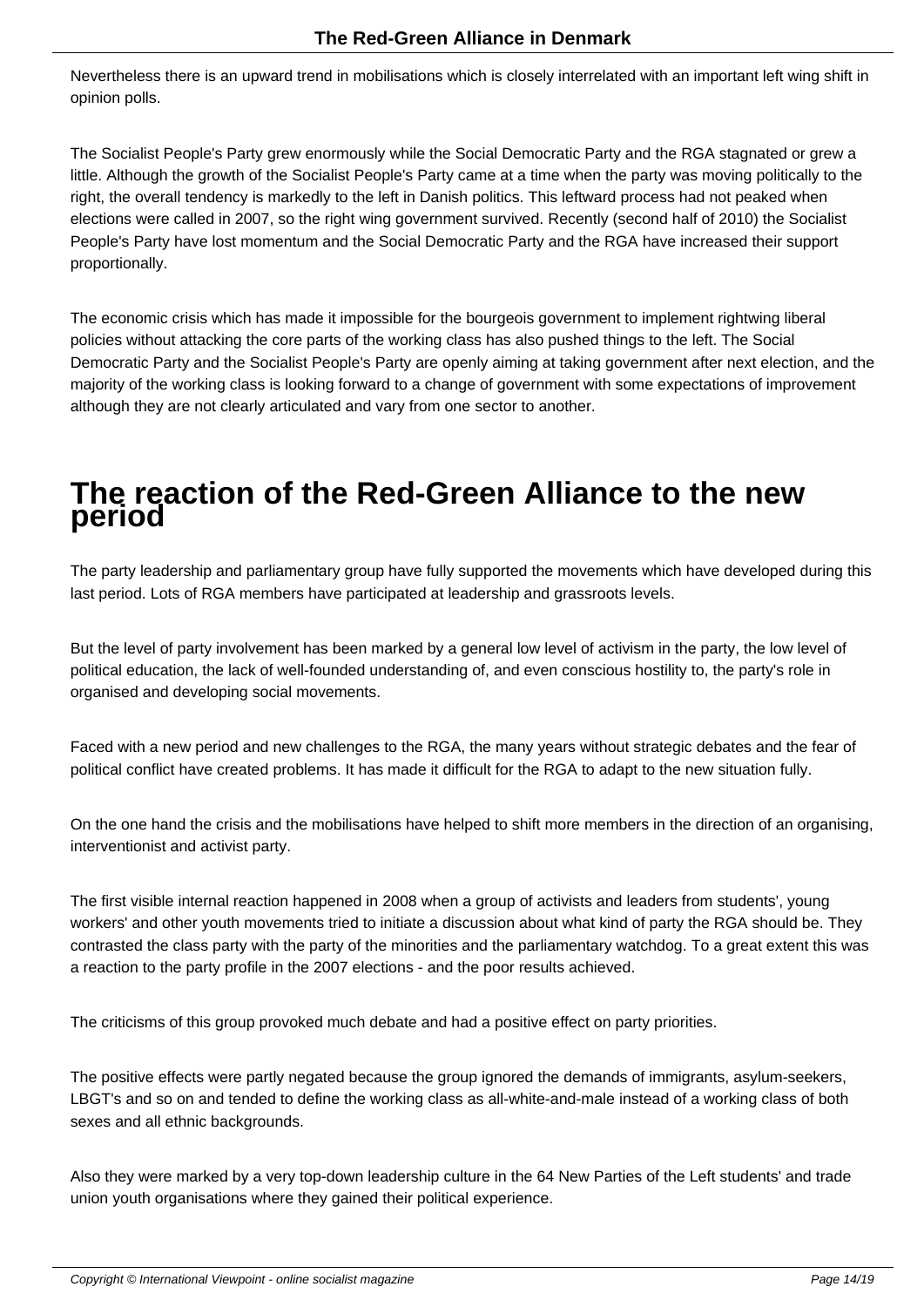Nevertheless there is an upward trend in mobilisations which is closely interrelated with an important left wing shift in opinion polls.

The Socialist People's Party grew enormously while the Social Democratic Party and the RGA stagnated or grew a little. Although the growth of the Socialist People's Party came at a time when the party was moving politically to the right, the overall tendency is markedly to the left in Danish politics. This leftward process had not peaked when elections were called in 2007, so the right wing government survived. Recently (second half of 2010) the Socialist People's Party have lost momentum and the Social Democratic Party and the RGA have increased their support proportionally.

The economic crisis which has made it impossible for the bourgeois government to implement rightwing liberal policies without attacking the core parts of the working class has also pushed things to the left. The Social Democratic Party and the Socialist People's Party are openly aiming at taking government after next election, and the majority of the working class is looking forward to a change of government with some expectations of improvement although they are not clearly articulated and vary from one sector to another.

## **The reaction of the Red-Green Alliance to the new period**

The party leadership and parliamentary group have fully supported the movements which have developed during this last period. Lots of RGA members have participated at leadership and grassroots levels.

But the level of party involvement has been marked by a general low level of activism in the party, the low level of political education, the lack of well-founded understanding of, and even conscious hostility to, the party's role in organised and developing social movements.

Faced with a new period and new challenges to the RGA, the many years without strategic debates and the fear of political conflict have created problems. It has made it difficult for the RGA to adapt to the new situation fully.

On the one hand the crisis and the mobilisations have helped to shift more members in the direction of an organising, interventionist and activist party.

The first visible internal reaction happened in 2008 when a group of activists and leaders from students', young workers' and other youth movements tried to initiate a discussion about what kind of party the RGA should be. They contrasted the class party with the party of the minorities and the parliamentary watchdog. To a great extent this was a reaction to the party profile in the 2007 elections - and the poor results achieved.

The criticisms of this group provoked much debate and had a positive effect on party priorities.

The positive effects were partly negated because the group ignored the demands of immigrants, asylum-seekers, LBGT's and so on and tended to define the working class as all-white-and-male instead of a working class of both sexes and all ethnic backgrounds.

Also they were marked by a very top-down leadership culture in the 64 New Parties of the Left students' and trade union youth organisations where they gained their political experience.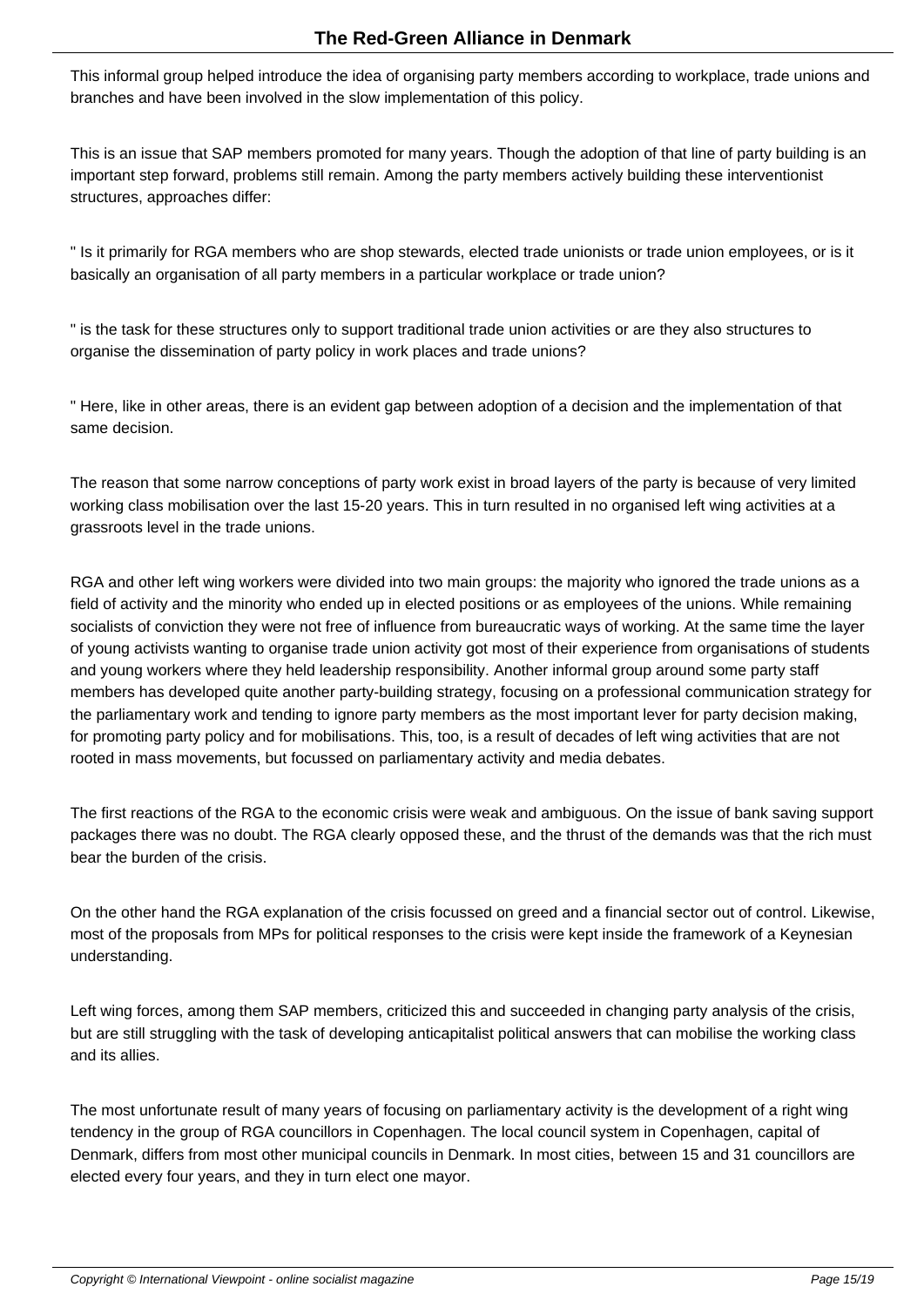This informal group helped introduce the idea of organising party members according to workplace, trade unions and branches and have been involved in the slow implementation of this policy.

This is an issue that SAP members promoted for many years. Though the adoption of that line of party building is an important step forward, problems still remain. Among the party members actively building these interventionist structures, approaches differ:

" Is it primarily for RGA members who are shop stewards, elected trade unionists or trade union employees, or is it basically an organisation of all party members in a particular workplace or trade union?

" is the task for these structures only to support traditional trade union activities or are they also structures to organise the dissemination of party policy in work places and trade unions?

" Here, like in other areas, there is an evident gap between adoption of a decision and the implementation of that same decision.

The reason that some narrow conceptions of party work exist in broad layers of the party is because of very limited working class mobilisation over the last 15-20 years. This in turn resulted in no organised left wing activities at a grassroots level in the trade unions.

RGA and other left wing workers were divided into two main groups: the majority who ignored the trade unions as a field of activity and the minority who ended up in elected positions or as employees of the unions. While remaining socialists of conviction they were not free of influence from bureaucratic ways of working. At the same time the layer of young activists wanting to organise trade union activity got most of their experience from organisations of students and young workers where they held leadership responsibility. Another informal group around some party staff members has developed quite another party-building strategy, focusing on a professional communication strategy for the parliamentary work and tending to ignore party members as the most important lever for party decision making, for promoting party policy and for mobilisations. This, too, is a result of decades of left wing activities that are not rooted in mass movements, but focussed on parliamentary activity and media debates.

The first reactions of the RGA to the economic crisis were weak and ambiguous. On the issue of bank saving support packages there was no doubt. The RGA clearly opposed these, and the thrust of the demands was that the rich must bear the burden of the crisis.

On the other hand the RGA explanation of the crisis focussed on greed and a financial sector out of control. Likewise, most of the proposals from MPs for political responses to the crisis were kept inside the framework of a Keynesian understanding.

Left wing forces, among them SAP members, criticized this and succeeded in changing party analysis of the crisis, but are still struggling with the task of developing anticapitalist political answers that can mobilise the working class and its allies.

The most unfortunate result of many years of focusing on parliamentary activity is the development of a right wing tendency in the group of RGA councillors in Copenhagen. The local council system in Copenhagen, capital of Denmark, differs from most other municipal councils in Denmark. In most cities, between 15 and 31 councillors are elected every four years, and they in turn elect one mayor.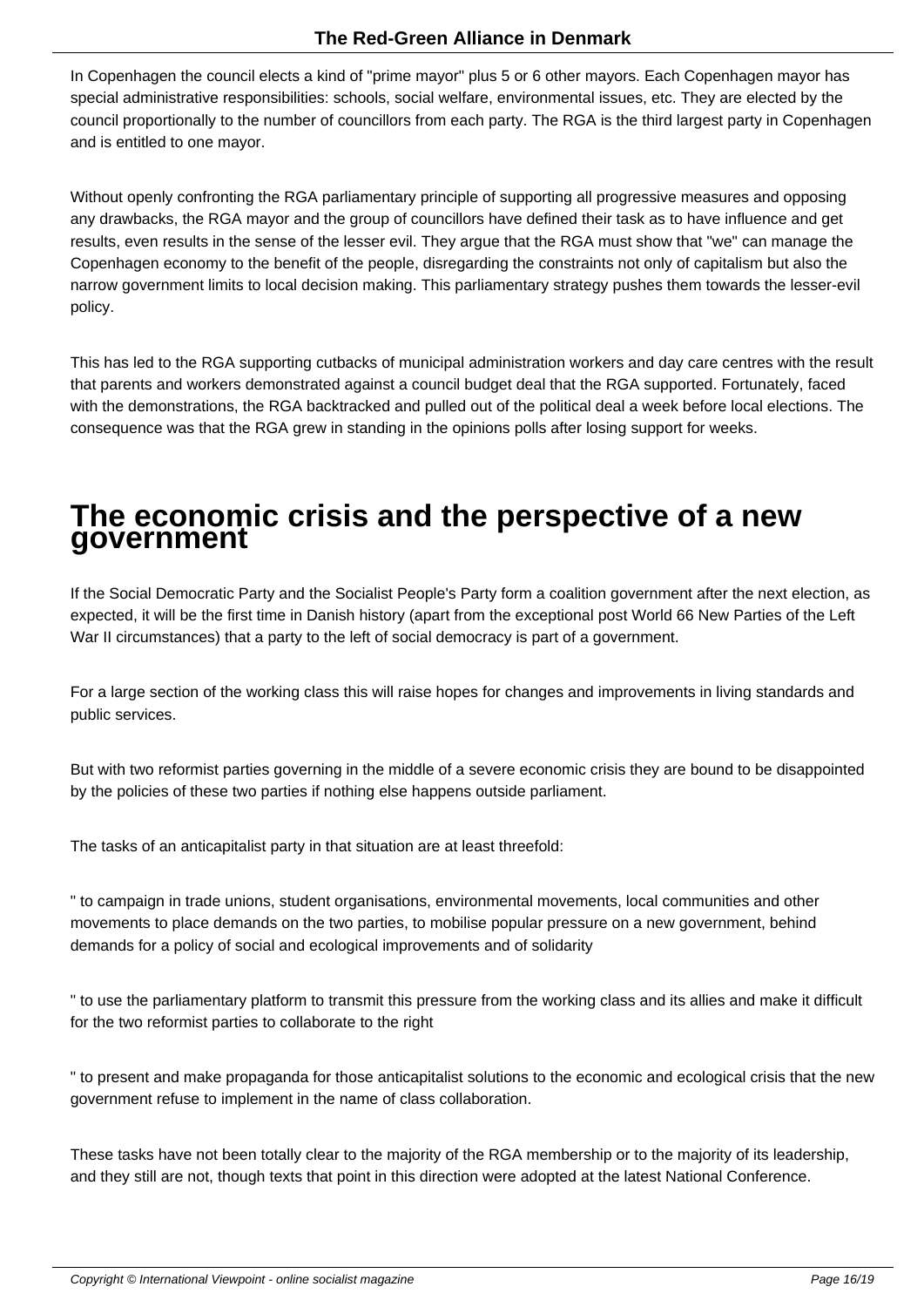In Copenhagen the council elects a kind of "prime mayor" plus 5 or 6 other mayors. Each Copenhagen mayor has special administrative responsibilities: schools, social welfare, environmental issues, etc. They are elected by the council proportionally to the number of councillors from each party. The RGA is the third largest party in Copenhagen and is entitled to one mayor.

Without openly confronting the RGA parliamentary principle of supporting all progressive measures and opposing any drawbacks, the RGA mayor and the group of councillors have defined their task as to have influence and get results, even results in the sense of the lesser evil. They argue that the RGA must show that "we" can manage the Copenhagen economy to the benefit of the people, disregarding the constraints not only of capitalism but also the narrow government limits to local decision making. This parliamentary strategy pushes them towards the lesser-evil policy.

This has led to the RGA supporting cutbacks of municipal administration workers and day care centres with the result that parents and workers demonstrated against a council budget deal that the RGA supported. Fortunately, faced with the demonstrations, the RGA backtracked and pulled out of the political deal a week before local elections. The consequence was that the RGA grew in standing in the opinions polls after losing support for weeks.

#### **The economic crisis and the perspective of a new government**

If the Social Democratic Party and the Socialist People's Party form a coalition government after the next election, as expected, it will be the first time in Danish history (apart from the exceptional post World 66 New Parties of the Left War II circumstances) that a party to the left of social democracy is part of a government.

For a large section of the working class this will raise hopes for changes and improvements in living standards and public services.

But with two reformist parties governing in the middle of a severe economic crisis they are bound to be disappointed by the policies of these two parties if nothing else happens outside parliament.

The tasks of an anticapitalist party in that situation are at least threefold:

" to campaign in trade unions, student organisations, environmental movements, local communities and other movements to place demands on the two parties, to mobilise popular pressure on a new government, behind demands for a policy of social and ecological improvements and of solidarity

" to use the parliamentary platform to transmit this pressure from the working class and its allies and make it difficult for the two reformist parties to collaborate to the right

" to present and make propaganda for those anticapitalist solutions to the economic and ecological crisis that the new government refuse to implement in the name of class collaboration.

These tasks have not been totally clear to the majority of the RGA membership or to the majority of its leadership, and they still are not, though texts that point in this direction were adopted at the latest National Conference.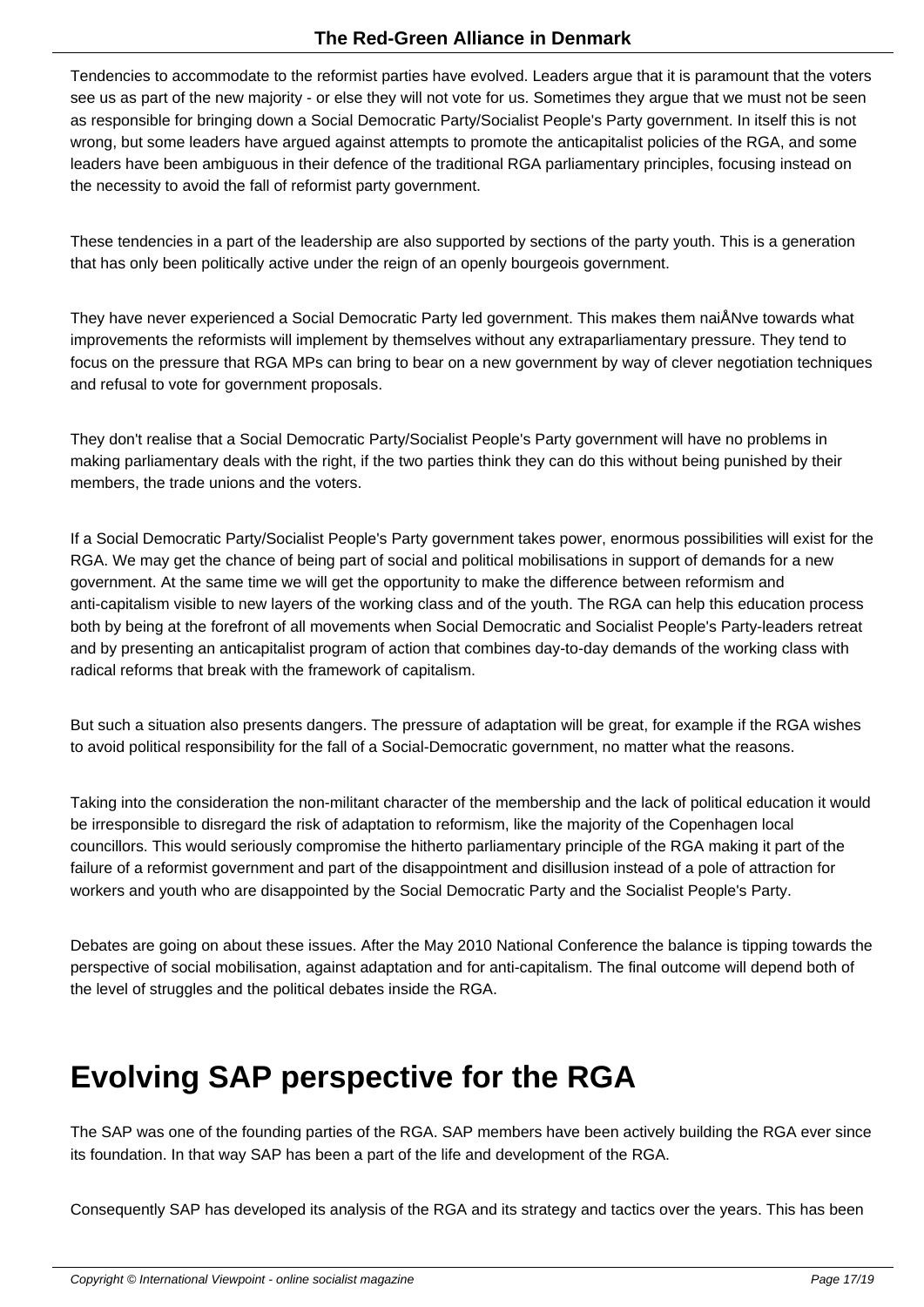Tendencies to accommodate to the reformist parties have evolved. Leaders argue that it is paramount that the voters see us as part of the new majority - or else they will not vote for us. Sometimes they argue that we must not be seen as responsible for bringing down a Social Democratic Party/Socialist People's Party government. In itself this is not wrong, but some leaders have argued against attempts to promote the anticapitalist policies of the RGA, and some leaders have been ambiguous in their defence of the traditional RGA parliamentary principles, focusing instead on the necessity to avoid the fall of reformist party government.

These tendencies in a part of the leadership are also supported by sections of the party youth. This is a generation that has only been politically active under the reign of an openly bourgeois government.

They have never experienced a Social Democratic Party led government. This makes them naiÅNve towards what improvements the reformists will implement by themselves without any extraparliamentary pressure. They tend to focus on the pressure that RGA MPs can bring to bear on a new government by way of clever negotiation techniques and refusal to vote for government proposals.

They don't realise that a Social Democratic Party/Socialist People's Party government will have no problems in making parliamentary deals with the right, if the two parties think they can do this without being punished by their members, the trade unions and the voters.

If a Social Democratic Party/Socialist People's Party government takes power, enormous possibilities will exist for the RGA. We may get the chance of being part of social and political mobilisations in support of demands for a new government. At the same time we will get the opportunity to make the difference between reformism and anti-capitalism visible to new layers of the working class and of the youth. The RGA can help this education process both by being at the forefront of all movements when Social Democratic and Socialist People's Party-leaders retreat and by presenting an anticapitalist program of action that combines day-to-day demands of the working class with radical reforms that break with the framework of capitalism.

But such a situation also presents dangers. The pressure of adaptation will be great, for example if the RGA wishes to avoid political responsibility for the fall of a Social-Democratic government, no matter what the reasons.

Taking into the consideration the non-militant character of the membership and the lack of political education it would be irresponsible to disregard the risk of adaptation to reformism, like the majority of the Copenhagen local councillors. This would seriously compromise the hitherto parliamentary principle of the RGA making it part of the failure of a reformist government and part of the disappointment and disillusion instead of a pole of attraction for workers and youth who are disappointed by the Social Democratic Party and the Socialist People's Party.

Debates are going on about these issues. After the May 2010 National Conference the balance is tipping towards the perspective of social mobilisation, against adaptation and for anti-capitalism. The final outcome will depend both of the level of struggles and the political debates inside the RGA.

### **Evolving SAP perspective for the RGA**

The SAP was one of the founding parties of the RGA. SAP members have been actively building the RGA ever since its foundation. In that way SAP has been a part of the life and development of the RGA.

Consequently SAP has developed its analysis of the RGA and its strategy and tactics over the years. This has been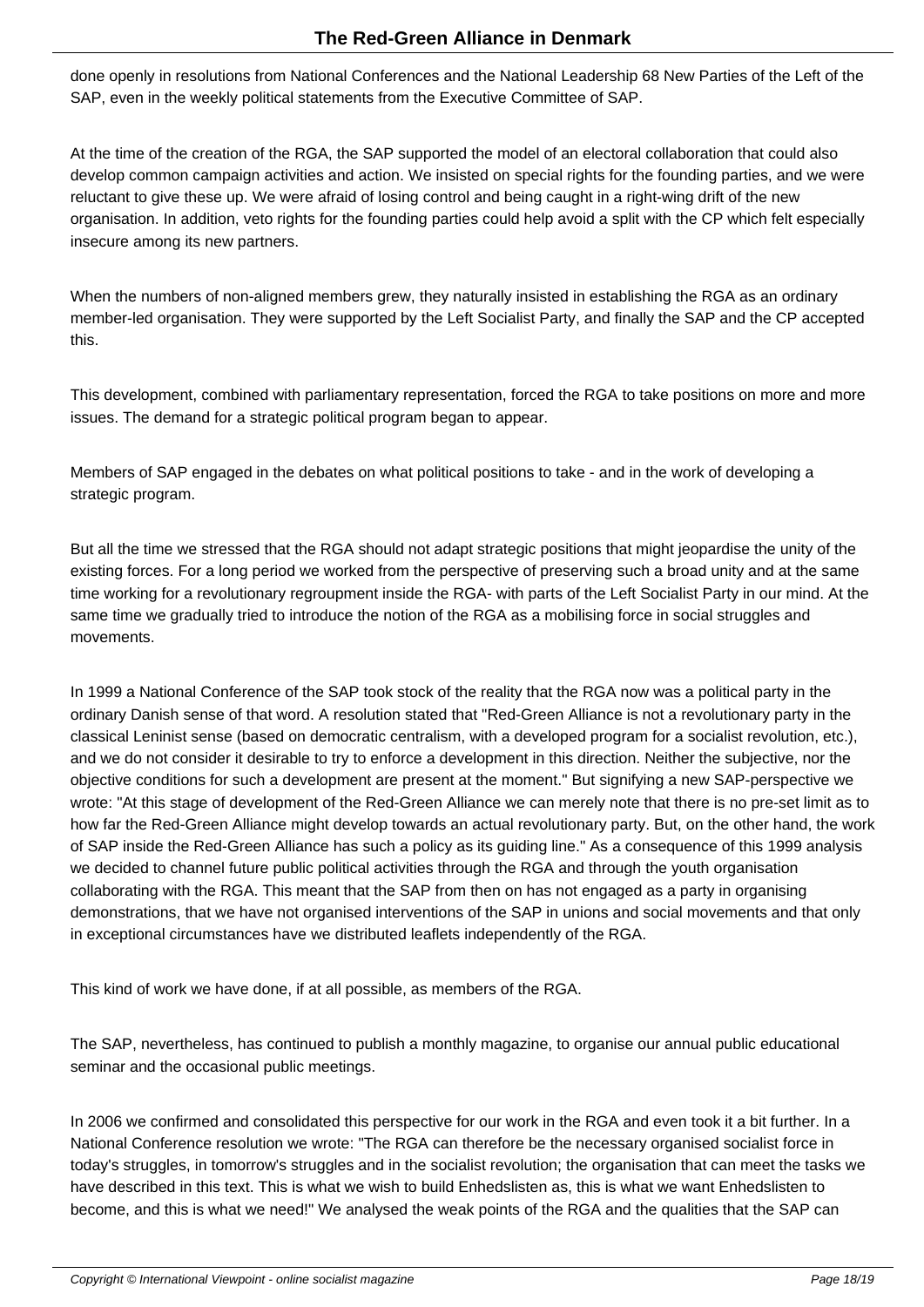done openly in resolutions from National Conferences and the National Leadership 68 New Parties of the Left of the SAP, even in the weekly political statements from the Executive Committee of SAP.

At the time of the creation of the RGA, the SAP supported the model of an electoral collaboration that could also develop common campaign activities and action. We insisted on special rights for the founding parties, and we were reluctant to give these up. We were afraid of losing control and being caught in a right-wing drift of the new organisation. In addition, veto rights for the founding parties could help avoid a split with the CP which felt especially insecure among its new partners.

When the numbers of non-aligned members grew, they naturally insisted in establishing the RGA as an ordinary member-led organisation. They were supported by the Left Socialist Party, and finally the SAP and the CP accepted this.

This development, combined with parliamentary representation, forced the RGA to take positions on more and more issues. The demand for a strategic political program began to appear.

Members of SAP engaged in the debates on what political positions to take - and in the work of developing a strategic program.

But all the time we stressed that the RGA should not adapt strategic positions that might jeopardise the unity of the existing forces. For a long period we worked from the perspective of preserving such a broad unity and at the same time working for a revolutionary regroupment inside the RGA- with parts of the Left Socialist Party in our mind. At the same time we gradually tried to introduce the notion of the RGA as a mobilising force in social struggles and movements.

In 1999 a National Conference of the SAP took stock of the reality that the RGA now was a political party in the ordinary Danish sense of that word. A resolution stated that "Red-Green Alliance is not a revolutionary party in the classical Leninist sense (based on democratic centralism, with a developed program for a socialist revolution, etc.), and we do not consider it desirable to try to enforce a development in this direction. Neither the subjective, nor the objective conditions for such a development are present at the moment." But signifying a new SAP-perspective we wrote: "At this stage of development of the Red-Green Alliance we can merely note that there is no pre-set limit as to how far the Red-Green Alliance might develop towards an actual revolutionary party. But, on the other hand, the work of SAP inside the Red-Green Alliance has such a policy as its guiding line." As a consequence of this 1999 analysis we decided to channel future public political activities through the RGA and through the youth organisation collaborating with the RGA. This meant that the SAP from then on has not engaged as a party in organising demonstrations, that we have not organised interventions of the SAP in unions and social movements and that only in exceptional circumstances have we distributed leaflets independently of the RGA.

This kind of work we have done, if at all possible, as members of the RGA.

The SAP, nevertheless, has continued to publish a monthly magazine, to organise our annual public educational seminar and the occasional public meetings.

In 2006 we confirmed and consolidated this perspective for our work in the RGA and even took it a bit further. In a National Conference resolution we wrote: "The RGA can therefore be the necessary organised socialist force in today's struggles, in tomorrow's struggles and in the socialist revolution; the organisation that can meet the tasks we have described in this text. This is what we wish to build Enhedslisten as, this is what we want Enhedslisten to become, and this is what we need!" We analysed the weak points of the RGA and the qualities that the SAP can